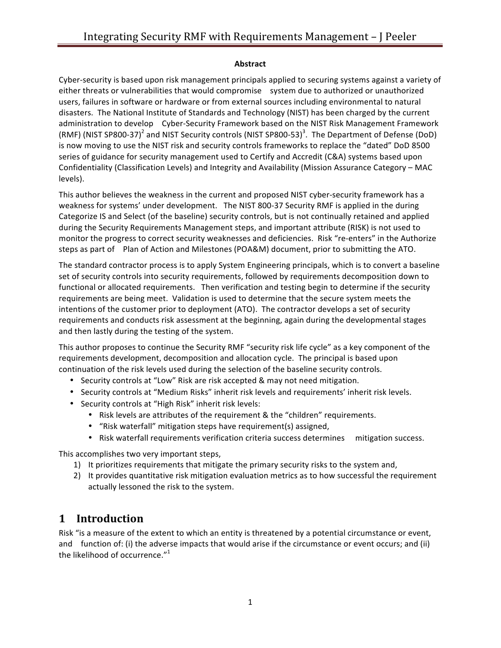#### **Abstract**

Cyber-security is based upon risk management principals applied to securing systems against a variety of either threats or vulnerabilities that would compromise system due to authorized or unauthorized users, failures in software or hardware or from external sources including environmental to natural disasters. The National Institute of Standards and Technology (NIST) has been charged by the current administration to develop Cyber-Security Framework based on the NIST Risk Management Framework (RMF) (NIST SP800-37)<sup>2</sup> and NIST Security controls (NIST SP800-53)<sup>3</sup>. The Department of Defense (DoD) is now moving to use the NIST risk and security controls frameworks to replace the "dated" DoD 8500 series of guidance for security management used to Certify and Accredit (C&A) systems based upon Confidentiality (Classification Levels) and Integrity and Availability (Mission Assurance Category - MAC levels). 

This author believes the weakness in the current and proposed NIST cyber-security framework has a weakness for systems' under development. The NIST 800-37 Security RMF is applied in the during Categorize IS and Select (of the baseline) security controls, but is not continually retained and applied during the Security Requirements Management steps, and important attribute (RISK) is not used to monitor the progress to correct security weaknesses and deficiencies. Risk "re-enters" in the Authorize steps as part of Plan of Action and Milestones (POA&M) document, prior to submitting the ATO.

The standard contractor process is to apply System Engineering principals, which is to convert a baseline set of security controls into security requirements, followed by requirements decomposition down to functional or allocated requirements. Then verification and testing begin to determine if the security requirements are being meet. Validation is used to determine that the secure system meets the intentions of the customer prior to deployment (ATO). The contractor develops a set of security requirements and conducts risk assessment at the beginning, again during the developmental stages and then lastly during the testing of the system.

This author proposes to continue the Security RMF "security risk life cycle" as a key component of the requirements development, decomposition and allocation cycle. The principal is based upon continuation of the risk levels used during the selection of the baseline security controls.

- Security controls at "Low" Risk are risk accepted & may not need mitigation.
- Security controls at "Medium Risks" inherit risk levels and requirements' inherit risk levels.
- Security controls at "High Risk" inherit risk levels:
	- Risk levels are attributes of the requirement & the "children" requirements.
	- "Risk waterfall" mitigation steps have requirement(s) assigned,
	- Risk waterfall requirements verification criteria success determines mitigation success.

This accomplishes two very important steps,

- 1) It prioritizes requirements that mitigate the primary security risks to the system and,
- 2) It provides quantitative risk mitigation evaluation metrics as to how successful the requirement actually lessoned the risk to the system.

### **1 Introduction**

Risk "is a measure of the extent to which an entity is threatened by a potential circumstance or event, and function of: (i) the adverse impacts that would arise if the circumstance or event occurs; and (ii) the likelihood of occurrence." $^1$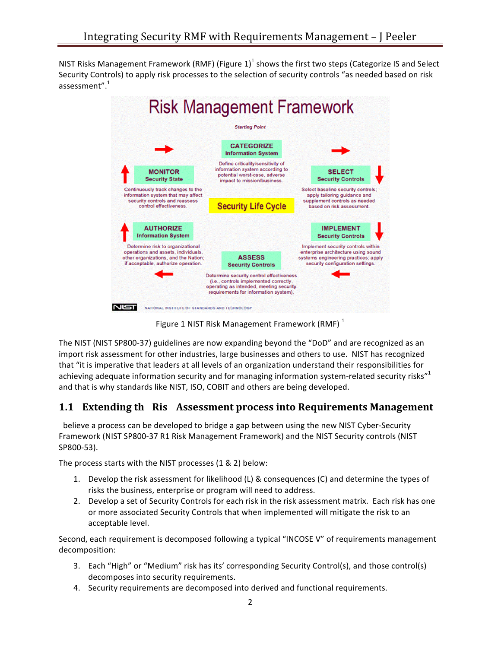NIST Risks Management Framework (RMF) (Figure  $1$ )<sup>1</sup> shows the first two steps (Categorize IS and Select Security Controls) to apply risk processes to the selection of security controls "as needed based on risk assessment".<sup>1</sup>



Figure 1 NIST Risk Management Framework (RMF) $<sup>1</sup>$ </sup>

The NIST (NIST SP800-37) guidelines are now expanding beyond the "DoD" and are recognized as an import risk assessment for other industries, large businesses and others to use. NIST has recognized that "it is imperative that leaders at all levels of an organization understand their responsibilities for achieving adequate information security and for managing information system-related security risks"<sup>1</sup> and that is why standards like NIST, ISO, COBIT and others are being developed.

#### **1.1 Extending th Ris Assessment process into Requirements Management**

believe a process can be developed to bridge a gap between using the new NIST Cyber-Security Framework (NIST SP800-37 R1 Risk Management Framework) and the NIST Security controls (NIST SP800-53).

The process starts with the NIST processes  $(1 & 2)$  below:

- 1. Develop the risk assessment for likelihood  $(L)$  & consequences  $(C)$  and determine the types of risks the business, enterprise or program will need to address.
- 2. Develop a set of Security Controls for each risk in the risk assessment matrix. Each risk has one or more associated Security Controls that when implemented will mitigate the risk to an acceptable level.

Second, each requirement is decomposed following a typical "INCOSE V" of requirements management decomposition:

- 3. Each "High" or "Medium" risk has its' corresponding Security Control(s), and those control(s) decomposes into security requirements.
- 4. Security requirements are decomposed into derived and functional requirements.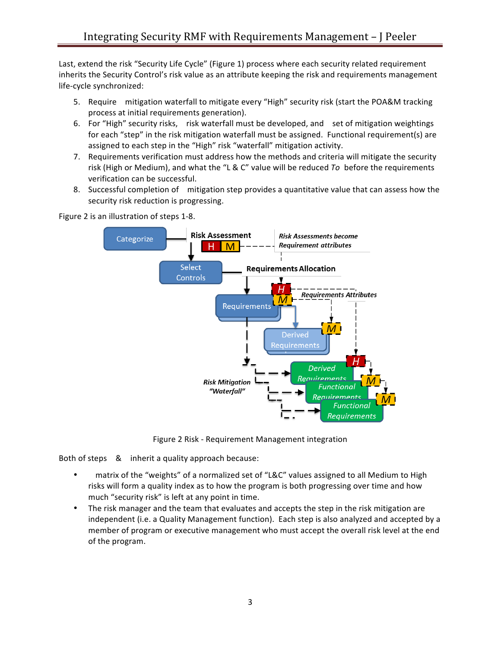Last, extend the risk "Security Life Cycle" (Figure 1) process where each security related requirement inherits the Security Control's risk value as an attribute keeping the risk and requirements management life-cycle synchronized:

- 5. Require mitigation waterfall to mitigate every "High" security risk (start the POA&M tracking process at initial requirements generation).
- 6. For "High" security risks, risk waterfall must be developed, and set of mitigation weightings for each "step" in the risk mitigation waterfall must be assigned. Functional requirement(s) are assigned to each step in the "High" risk "waterfall" mitigation activity.
- 7. Requirements verification must address how the methods and criteria will mitigate the security risk (High or Medium), and what the "L & C" value will be reduced *To* before the requirements verification can be successful.
- 8. Successful completion of mitigation step provides a quantitative value that can assess how the security risk reduction is progressing.

**Risk Assessment Risk Assessments become** Categorize **Requirement attributes** M Select **Requirements Allocation** Controls **Requirements Attributes** M Requirements **Derived** Requirement Derived Reauirement **Risk Mitigation** Functional "Waterfall" <u>Reauirements</u> Functional Requirements

Figure 2 is an illustration of steps 1-8.

Figure 2 Risk - Requirement Management integration

Both of steps & inherit a quality approach because:

- matrix of the "weights" of a normalized set of "L&C" values assigned to all Medium to High risks will form a quality index as to how the program is both progressing over time and how much "security risk" is left at any point in time.
- The risk manager and the team that evaluates and accepts the step in the risk mitigation are independent (i.e. a Quality Management function). Each step is also analyzed and accepted by a member of program or executive management who must accept the overall risk level at the end of the program.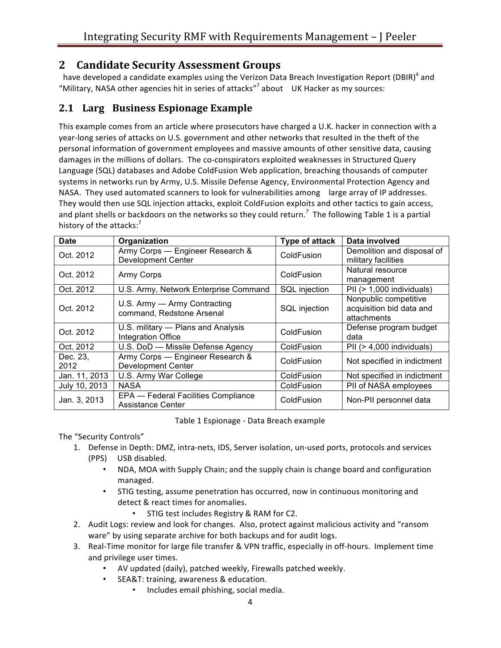# **2 Candidate Security Assessment Groups**

have developed a candidate examples using the Verizon Data Breach Investigation Report (DBIR)<sup>4</sup> and "Military, NASA other agencies hit in series of attacks"<sup>7</sup> about UK Hacker as my sources:

### **2.1 Larg Business Espionage Example**

This example comes from an article where prosecutors have charged a U.K. hacker in connection with a year-long series of attacks on U.S. government and other networks that resulted in the theft of the personal information of government employees and massive amounts of other sensitive data, causing damages in the millions of dollars. The co-conspirators exploited weaknesses in Structured Query Language (SQL) databases and Adobe ColdFusion Web application, breaching thousands of computer systems in networks run by Army, U.S. Missile Defense Agency, Environmental Protection Agency and NASA. They used automated scanners to look for vulnerabilities among large array of IP addresses. They would then use SQL injection attacks, exploit ColdFusion exploits and other tactics to gain access, and plant shells or backdoors on the networks so they could return.<sup>7</sup> The following Table 1 is a partial history of the attacks:<sup>7</sup>

| <b>Date</b>      | Organization                                                  | Type of attack | Data involved                                                    |
|------------------|---------------------------------------------------------------|----------------|------------------------------------------------------------------|
| Oct. 2012        | Army Corps - Engineer Research &<br><b>Development Center</b> | ColdFusion     | Demolition and disposal of<br>military facilities                |
| Oct. 2012        | Army Corps                                                    | ColdFusion     | Natural resource<br>management                                   |
| Oct. 2012        | U.S. Army, Network Enterprise Command                         | SQL injection  | PII $(> 1,000$ individuals)                                      |
| Oct. 2012        | U.S. Army — Army Contracting<br>command, Redstone Arsenal     | SQL injection  | Nonpublic competitive<br>acquisition bid data and<br>attachments |
| Oct. 2012        | U.S. military - Plans and Analysis<br>Integration Office      | ColdFusion     | Defense program budget<br>data                                   |
| Oct. 2012        | U.S. DoD - Missile Defense Agency                             | ColdFusion     | PII $(> 4,000$ individuals)                                      |
| Dec. 23.<br>2012 | Army Corps - Engineer Research &<br><b>Development Center</b> | ColdFusion     | Not specified in indictment                                      |
| Jan. 11, 2013    | U.S. Army War College                                         | ColdFusion     | Not specified in indictment                                      |
| July 10, 2013    | <b>NASA</b>                                                   | ColdFusion     | PII of NASA employees                                            |
| Jan. 3, 2013     | EPA - Federal Facilities Compliance<br>Assistance Center      | ColdFusion     | Non-PII personnel data                                           |

Table 1 Espionage - Data Breach example

The "Security Controls"

- 1. Defense in Depth: DMZ, intra-nets, IDS, Server isolation, un-used ports, protocols and services (PPS) USB disabled.
	- NDA, MOA with Supply Chain; and the supply chain is change board and configuration managed.
	- STIG testing, assume penetration has occurred, now in continuous monitoring and detect & react times for anomalies.
		- • STIG test includes Registry & RAM for C2.
- 2. Audit Logs: review and look for changes. Also, protect against malicious activity and "ransom ware" by using separate archive for both backups and for audit logs.
- 3. Real-Time monitor for large file transfer & VPN traffic, especially in off-hours. Implement time and privilege user times.
	- AV updated (daily), patched weekly, Firewalls patched weekly.
	- • SEA&T: training, awareness & education.
		- Includes email phishing, social media.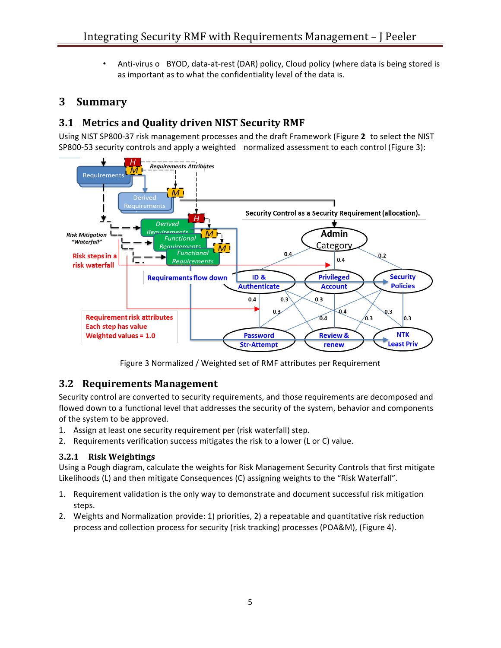Anti-virus o BYOD, data-at-rest (DAR) policy, Cloud policy (where data is being stored is as important as to what the confidentiality level of the data is.

## **3 Summary**

# **3.1 Metrics and Quality driven NIST Security RMF**

Using NIST SP800-37 risk management processes and the draft Framework (Figure 2 to select the NIST SP800-53 security controls and apply a weighted normalized assessment to each control (Figure 3):



Figure 3 Normalized / Weighted set of RMF attributes per Requirement

### **3.2 Requirements Management**

Security control are converted to security requirements, and those requirements are decomposed and flowed down to a functional level that addresses the security of the system, behavior and components of the system to be approved.

- 1. Assign at least one security requirement per (risk waterfall) step.
- 2. Requirements verification success mitigates the risk to a lower (L or C) value.

#### **3.2.1 Risk Weightings**

Using a Pough diagram, calculate the weights for Risk Management Security Controls that first mitigate Likelihoods (L) and then mitigate Consequences (C) assigning weights to the "Risk Waterfall".

- 1. Requirement validation is the only way to demonstrate and document successful risk mitigation steps.
- 2. Weights and Normalization provide: 1) priorities, 2) a repeatable and quantitative risk reduction process and collection process for security (risk tracking) processes (POA&M), (Figure 4).